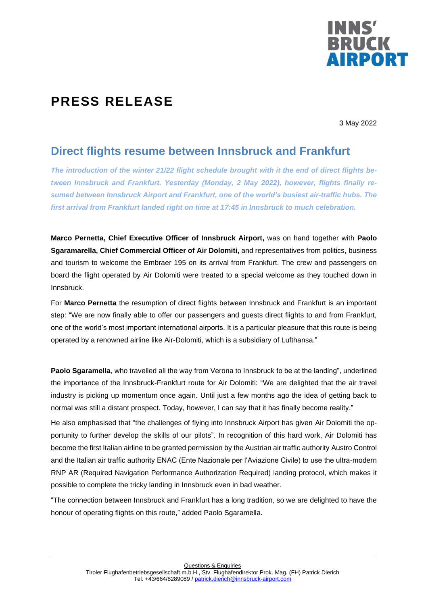

## **PRESS RELEASE**

3 May 2022

## **Direct flights resume between Innsbruck and Frankfurt**

*The introduction of the winter 21/22 flight schedule brought with it the end of direct flights between Innsbruck and Frankfurt. Yesterday (Monday, 2 May 2022), however, flights finally resumed between Innsbruck Airport and Frankfurt, one of the world's busiest air-traffic hubs. The first arrival from Frankfurt landed right on time at 17:45 in Innsbruck to much celebration.*

**Marco Pernetta, Chief Executive Officer of Innsbruck Airport,** was on hand together with **Paolo Sgaramarella, Chief Commercial Officer of Air Dolomiti,** and representatives from politics, business and tourism to welcome the Embraer 195 on its arrival from Frankfurt. The crew and passengers on board the flight operated by Air Dolomiti were treated to a special welcome as they touched down in Innsbruck.

For **Marco Pernetta** the resumption of direct flights between Innsbruck and Frankfurt is an important step: "We are now finally able to offer our passengers and guests direct flights to and from Frankfurt, one of the world's most important international airports. It is a particular pleasure that this route is being operated by a renowned airline like Air-Dolomiti, which is a subsidiary of Lufthansa."

**Paolo Sgaramella**, who travelled all the way from Verona to Innsbruck to be at the landing", underlined the importance of the Innsbruck-Frankfurt route for Air Dolomiti: "We are delighted that the air travel industry is picking up momentum once again. Until just a few months ago the idea of getting back to normal was still a distant prospect. Today, however, I can say that it has finally become reality."

He also emphasised that "the challenges of flying into Innsbruck Airport has given Air Dolomiti the opportunity to further develop the skills of our pilots". In recognition of this hard work, Air Dolomiti has become the first Italian airline to be granted permission by the Austrian air traffic authority Austro Control and the Italian air traffic authority ENAC (Ente Nazionale per l'Aviazione Civile) to use the ultra-modern RNP AR (Required Navigation Performance Authorization Required) landing protocol, which makes it possible to complete the tricky landing in Innsbruck even in bad weather.

"The connection between Innsbruck and Frankfurt has a long tradition, so we are delighted to have the honour of operating flights on this route," added Paolo Sgaramella.